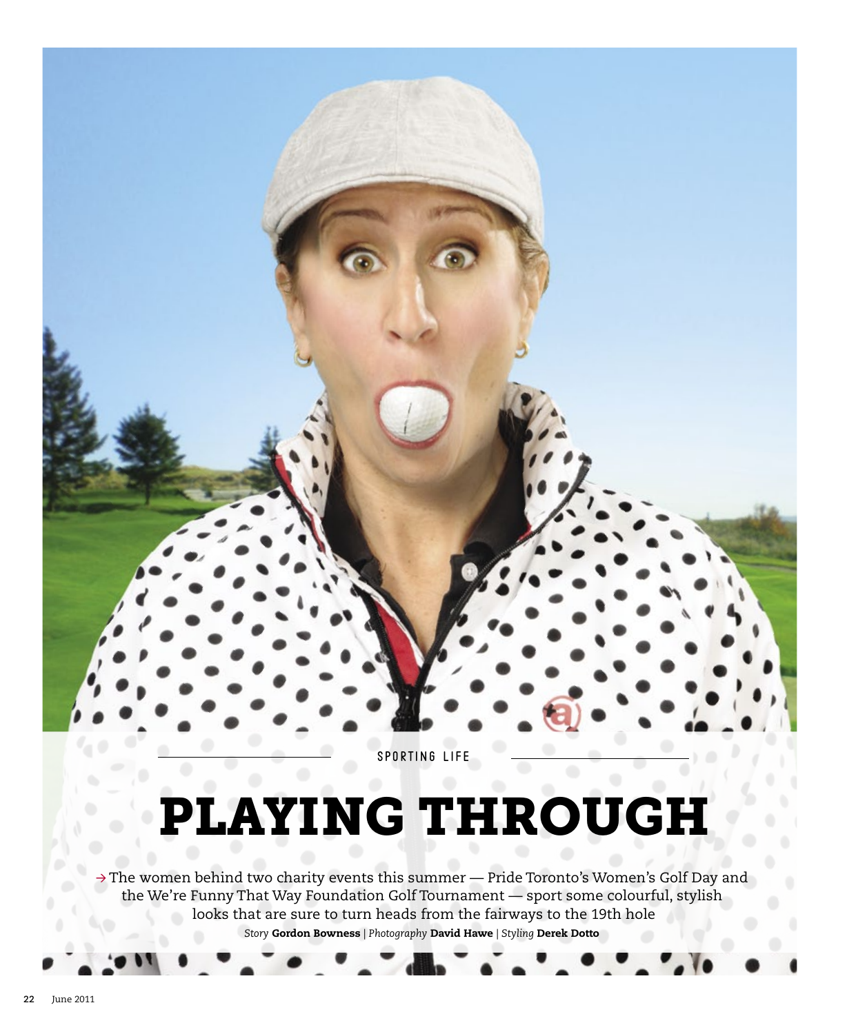

# Playing through

 $\rightarrow$  The women behind two charity events this summer — Pride Toronto's Women's Golf Day and the We're Funny That Way Foundation Golf Tournament — sport some colourful, stylish looks that are sure to turn heads from the fairways to the 19th hole *Story* Gordon Bowness *| Photography* David Hawe *| Styling* Derek Dotto